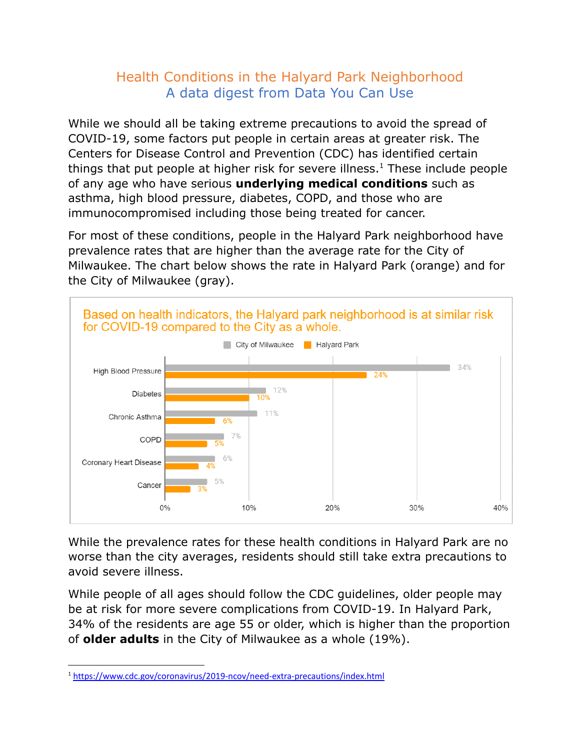## Health Conditions in the Halyard Park Neighborhood A data digest from Data You Can Use

While we should all be taking extreme precautions to avoid the spread of COVID-19, some factors put people in certain areas at greater risk. The Centers for Disease Control and Prevention (CDC) has identified certain things that put people at higher risk for severe illness.<sup>1</sup> These include people of any age who have serious **underlying medical conditions** such as asthma, high blood pressure, diabetes, COPD, and those who are immunocompromised including those being treated for cancer.

For most of these conditions, people in the Halyard Park neighborhood have prevalence rates that are higher than the average rate for the City of Milwaukee. The chart below shows the rate in Halyard Park (orange) and for the City of Milwaukee (gray).



While the prevalence rates for these health conditions in Halyard Park are no worse than the city averages, residents should still take extra precautions to avoid severe illness.

While people of all ages should follow the CDC guidelines, older people may be at risk for more severe complications from COVID-19. In Halyard Park, 34% of the residents are age 55 or older, which is higher than the proportion of **older adults** in the City of Milwaukee as a whole (19%).

<sup>1</sup> <https://www.cdc.gov/coronavirus/2019-ncov/need-extra-precautions/index.html>